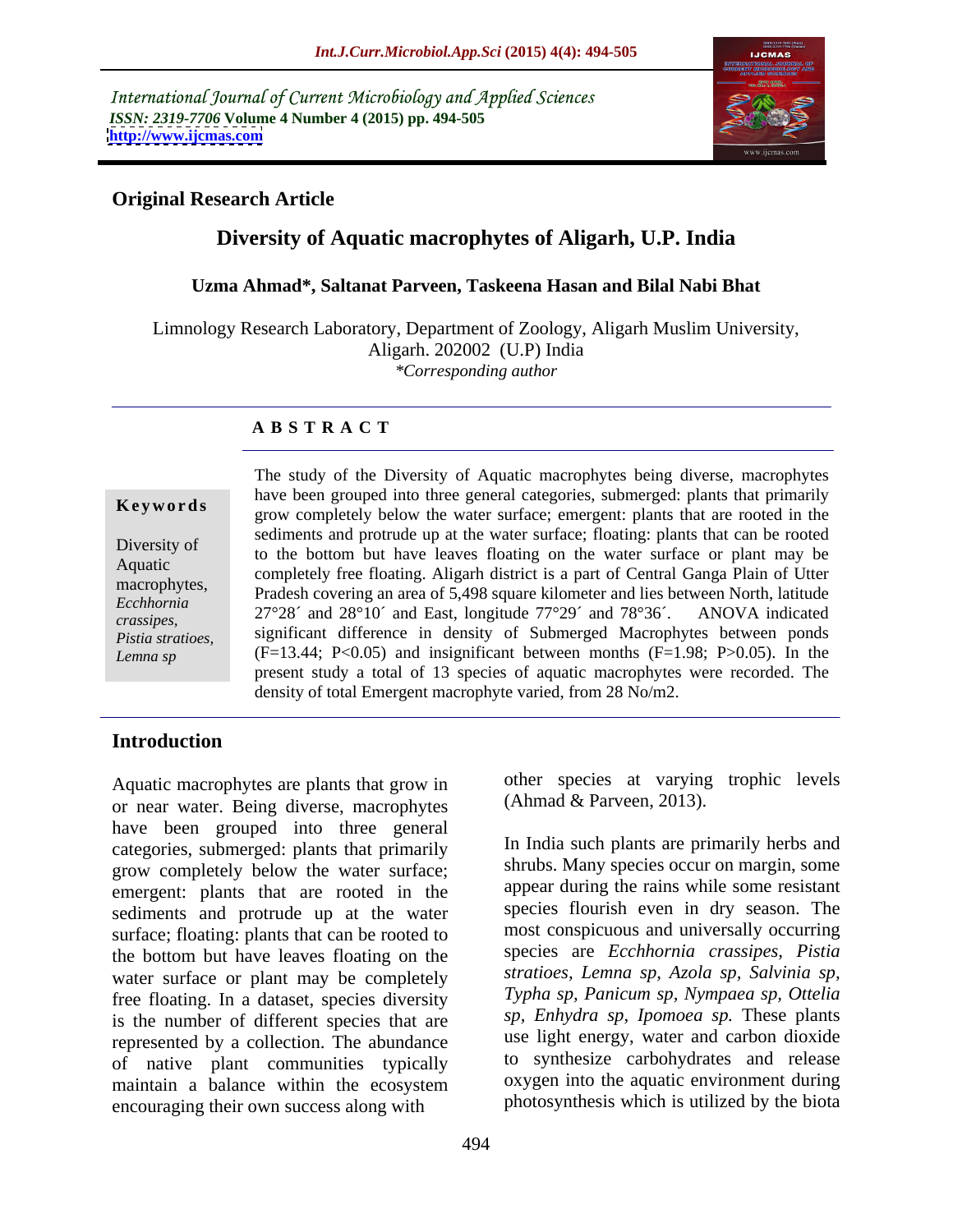International Journal of Current Microbiology and Applied Sciences *ISSN: 2319-7706* **Volume 4 Number 4 (2015) pp. 494-505 <http://www.ijcmas.com>**



### **Original Research Article**

### **Diversity of Aquatic macrophytes of Aligarh, U.P. India**

#### **Uzma Ahmad\*, Saltanat Parveen, Taskeena Hasan and Bilal Nabi Bhat**

Limnology Research Laboratory, Department of Zoology, Aligarh Muslim University, Aligarh. 202002 (U.P) India *\*Corresponding author*

### **A B S T R A C T**

*Lemna sp*

The study of the Diversity of Aquatic macrophytes being diverse, macrophytes have been grouped into three general categories, submerged: plants that primarily grow completely below the water surface; emergent: plants that are rooted in the sediments and protrude up at the water surface; floating: plants that can be rooted Diversity of to the bottom but have leaves floating on the water surface or plant may be Aquatic<br>
completely free floating. Aligarh district is a part of Central Ganga Plain of Utter macrophytes,<br>Fackhamia Pradesh covering an area of 5,498 square kilometer and lies between North, latitude Ecchhornia Tradesh eovering an area of 5,456 square knowned and hes between North, familiated<br>crassines 27°28´ and 28°10´ and East, longitude 77°29´ and 78°36´. ANOVA indicated crassipes,<br>*Pistia stratioes* significant difference in density of Submerged Macrophytes between ponds  $(F=13.44; P<0.05)$  and insignificant between months  $(F=1.98; P>0.05)$ . In the present study a total of 13 species of aquatic macrophytes were recorded. The **Example 19** and the vector of the vector of the varied points, then the points of the bottom but have leaves floating: emergent: plants that can be rooted to the bottom but have leaves floating on the water surface or pl *Pistia stratioes,* significant difference in density of Submerged Macrophytes between ponds

#### **Introduction**

Aquatic macrophytes are plants that grow in or near water. Being diverse, macrophytes have been grouped into three general categories, submerged: plants that primarily grow completely below the water surface; emergent: plants that are rooted in the sediments and protrude up at the water surface; floating: plants that can be rooted to the bottom but have leaves floating on the water surface or plant may be completely free floating. In a dataset, species diversity is the number of different species that are represented by a collection. The abundance of native plant communities typically maintain a balance within the ecosystem encouraging their own success along with

other species at varying trophic levels (Ahmad & Parveen, 2013).

In India such plants are primarily herbs and shrubs. Many species occur on margin, some appear during the rains while some resistant species flourish even in dry season. The most conspicuous and universally occurring species are *Ecchhornia crassipes, Pistia stratioes, Lemna sp, Azola sp, Salvinia sp, Typha sp, Panicum sp, Nympaea sp, Ottelia sp, Enhydra sp, Ipomoea sp.* These plants use light energy, water and carbon dioxide to synthesize carbohydrates and release oxygen into the aquatic environment during photosynthesis which is utilized by the biota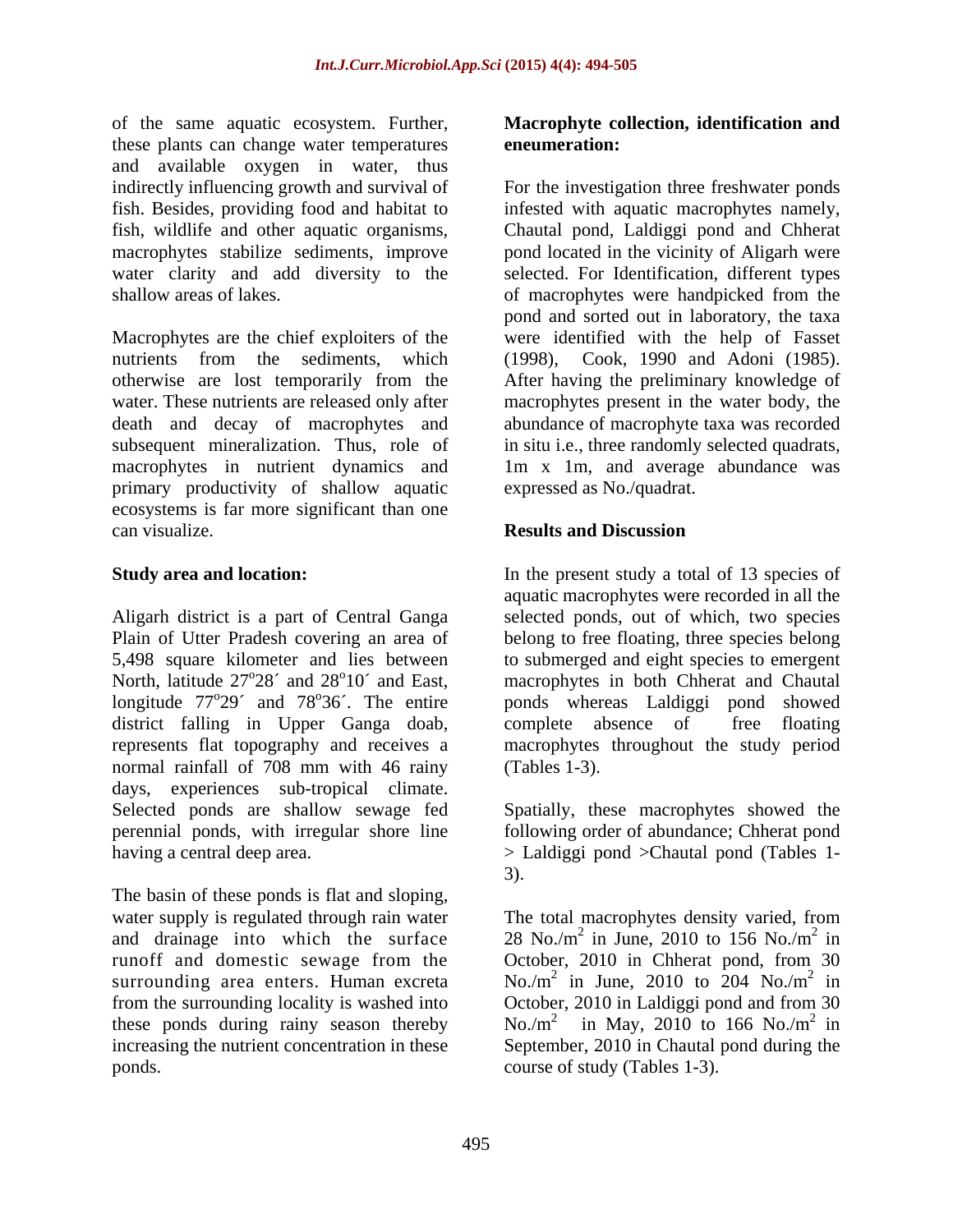of the same aquatic ecosystem. Further, **Macrophyte collection, identification and** these plants can change water temperatures and available oxygen in water, thus

Macrophytes are the chief exploiters of the were identified with the help of Fasset nutrients from the sediments, which (1998), Cook, 1990 and Adoni (1985). otherwise are lost temporarily from the After having the preliminary knowledge of water. These nutrients are released only after macrophytes present in the water body, the death and decay of macrophytes and abundance of macrophyte taxa was recorded subsequent mineralization. Thus, role of in situ i.e., three randomly selected quadrats, macrophytes in nutrient dynamics and 1m x 1m, and average abundance was primary productivity of shallow aquatic ecosystems is far more significant than one can visualize.

Plain of Utter Pradesh covering an area of North, latitude  $27^{\circ}28'$  and  $28^{\circ}10'$  and East, district falling in Upper Ganga doab, normal rainfall of 708 mm with 46 rainy (Tables 1-3). days, experiences sub-tropical climate. Selected ponds are shallow sewage fed Spatially, these macrophytes showed the perennial ponds, with irregular shore line following order of abundance; Chherat pond

The basin of these ponds is flat and sloping,

# **eneumeration:**

indirectly influencing growth and survival of For the investigation three freshwater ponds fish. Besides, providing food and habitat to infested with aquatic macrophytes namely, fish, wildlife and other aquatic organisms, Chautal pond, Laldiggi pond and Chherat macrophytes stabilize sediments, improve pond located in the vicinity of Aligarh were water clarity and add diversity to the selected. For Identification, different types shallow areas of lakes. of macrophytes were handpicked from the pond and sorted out in laboratory, the taxa expressed as No./quadrat.

### **Results and Discussion**

**Study area and location:** In the present study a total of 13 species of Aligarh district is a part of Central Ganga selected ponds, out of which, two species 5,498 square kilometer and lies between to submerged and eight species to emergent <sup>o</sup>28<sup>o</sup> and 28<sup>o</sup>10<sup>o</sup> and East, macrophytes in both Chherat and Chautal longitude  $77^{\circ}29'$  and  $78^{\circ}36'$ . The entire ponds whereas Laldiggi pond showed represents flat topography and receives a macrophytes throughout the study period aquatic macrophytes were recorded in all the belong to free floating, three species belong complete absence of free floating (Tables 1-3).

having a central deep area. > Laldiggi pond >Chautal pond (Tables 1- 3).

water supply is regulated through rain water The total macrophytes density varied, from and drainage into which the surface  $28 \text{ No./m}^2$  in June, 2010 to 156 No./m<sup>2</sup> in runoff and domestic sewage from the Corober, 2010 in Chherat pond, from 30 surrounding area enters. Human excreta  $\sim$  No./m<sup>2</sup> in June, 2010 to 204 No./m<sup>2</sup> in from the surrounding locality is washed into October, 2010 in Laldiggi pond and from 30 these ponds during rainy season thereby  $\sim$  No./m<sup>2</sup> in May, 2010 to 166 No./m<sup>2</sup> in increasing the nutrient concentration in these September, 2010 in Chautal pond during the ponds. course of study (Tables 1-3).in June, 2010 to 156 No./ $m<sup>2</sup>$  in 2 in in October, 2010 in Chherat pond, from 30 in June, 2010 to 204  $No./m^2$  in 2 in in in May, 2010 to 166 No./ $m^2$  in 2 in in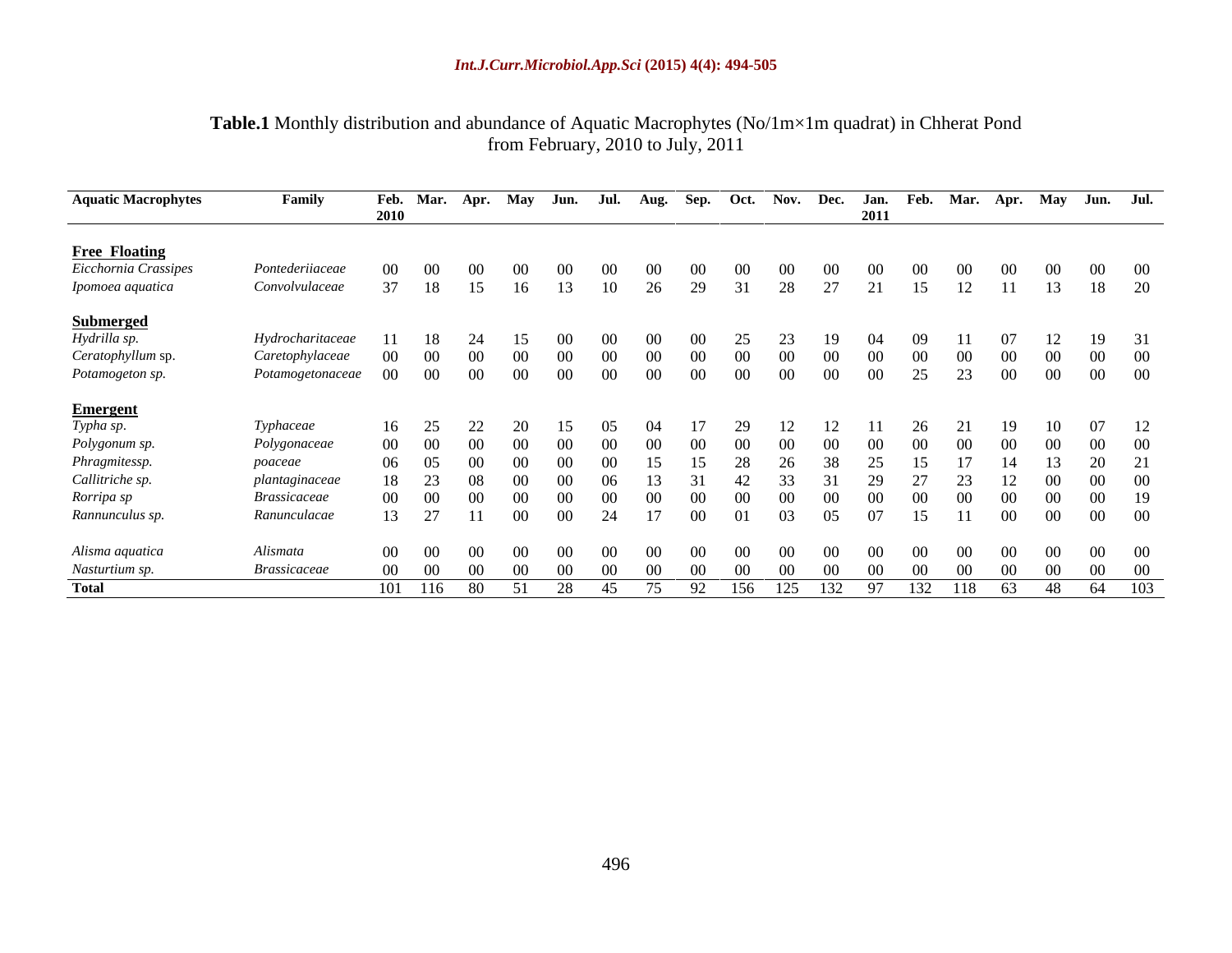#### **Table.1** Monthly distribution and abundance of Aquatic Macrophytes (No/1m×1m quadrat) in Chherat Pond from February, 2010 to July, 2011

| <b>Aquatic Macrophytes</b>                    | Family                     | Feb. Mar.       |          | Apr. May        |                 | Jun.            | Jul.            | Aug.            | Sep.            |                 |                 |                 |          |      |            |                 |                 | Oct. Nov. Dec. Jan. Feb. Mar. Apr. May Jun. Jul. |                 |
|-----------------------------------------------|----------------------------|-----------------|----------|-----------------|-----------------|-----------------|-----------------|-----------------|-----------------|-----------------|-----------------|-----------------|----------|------|------------|-----------------|-----------------|--------------------------------------------------|-----------------|
|                                               |                            | 2010            |          |                 |                 |                 |                 |                 |                 |                 |                 |                 | 2011     |      |            |                 |                 |                                                  |                 |
|                                               |                            |                 |          |                 |                 |                 |                 |                 |                 |                 |                 |                 |          |      |            |                 |                 |                                                  |                 |
| <b>Free Floating</b><br>Eicchornia Crassipes  | Pontederiiaceae            | 00.             | $\Omega$ | (0()            | ()()            | (0()            | (0()            | 00 <sup>1</sup> | (0()            | 00 <sup>1</sup> | 00 <sup>°</sup> | (0()            |          |      |            |                 |                 |                                                  |                 |
| Ipomoea aquatica                              | Convolvulaceae             | 37              | 18       | 15              | 16              | 13              | - 10            | 26              | 29              | 31              | 28              | 27              |          | 15   | 12         |                 | 13              |                                                  | 18 20           |
|                                               |                            |                 |          |                 |                 |                 |                 |                 |                 |                 |                 |                 |          |      |            |                 |                 |                                                  |                 |
| <b>Submerged</b><br>Hydrilla sp.              | Hydrocharitaceae           |                 | -18      |                 |                 | 00 <sup>1</sup> | 00 <sup>1</sup> | 00 <sup>1</sup> | $\Omega$        |                 |                 | 19              | $\Omega$ |      |            |                 |                 |                                                  | 19 31           |
| Ceratophyllum sp.                             | Caretophylaceae            | - 00            | $\Omega$ | (0()            | (0()            | $00 -$          | - 00            | -00-            | $\Omega$        | 00.             | -00-            |                 |          |      |            |                 |                 |                                                  | - 00            |
| Potamogeton sp.                               | Potamogetonaceae           | 00 <sup>1</sup> | - 00     | $00\,$          | $00\,$          | $00\,$          | $00\,$          | $00\,$          | 00 <sup>1</sup> | 00 <sup>1</sup> | 00 <sup>1</sup> | 00 <sup>1</sup> | 00       | 25   | 23         | $00\,$          | $00\,$          | 00 00                                            |                 |
|                                               |                            |                 |          |                 |                 |                 |                 |                 |                 |                 |                 |                 |          |      |            |                 |                 |                                                  |                 |
| <b>Emergent</b><br>Typha sp.<br>Polygonum sp. | Typhaceae                  | 16 25           |          |                 |                 |                 |                 |                 |                 | 29              |                 |                 |          | 26   |            |                 |                 |                                                  | 07 12           |
|                                               | Polygonaceae               | 00 00           |          | 00 <sup>1</sup> | - 00            |                 | <u>ഡ</u>        | $00 -$          | ൜               |                 |                 |                 |          |      |            |                 |                 | $00 -$                                           |                 |
| Phragmitessp.                                 | poaceae                    | 06 05           |          | 00 <sup>1</sup> | $\Omega$        |                 | (1)             |                 |                 | 28              | 26              |                 |          |      |            |                 |                 | 20                                               |                 |
| Callitriche sp.                               | plantaginaceae             |                 | 18 23    | - 08            | - 00            |                 |                 |                 |                 |                 |                 |                 |          |      |            |                 |                 |                                                  | $\alpha$        |
| Rorripa sp                                    | <i><b>Brassicaceae</b></i> | 00 00           |          | $00\,$          | - 00            | $00 -$          | - ററ            | OO.             | $\Omega$        |                 |                 |                 |          |      |            |                 |                 | $00 -$                                           |                 |
| Rannunculus sp.                               | Ranunculacae               |                 | 13 27    | $-11$           | 00 <sup>1</sup> | $00\,$          | 24              |                 | $00\,$          | 01              | 03              | 05              | -07      | 15.  |            | $\overline{00}$ | 00 <sup>1</sup> | $00$ 00                                          |                 |
| Alisma aquatica                               | Alismata                   | $00 \qquad 00$  |          | 00 <sup>1</sup> | (0()            | (0()            | (0()            | (0()            | (0()            | (0()            | (0()            | (0()            | - 00     | ()() | ()()       |                 |                 |                                                  | - 00            |
|                                               | <b>Brassicaceae</b>        | 00 00           |          | 00 <sup>1</sup> | - 00            | (0()            | (1)             | ()()            | ()()            |                 | (0()            |                 |          |      |            | - ()()          | (K)             | - 00                                             | $\bigcirc$ ()() |
| Nasturtium sp.<br>Total                       |                            | 101 116 80      |          |                 | 51              | 28              | 45              | 75              | 92              | 156             |                 | 125 132 97      |          |      | 132 118 63 |                 |                 | 48 64 103                                        |                 |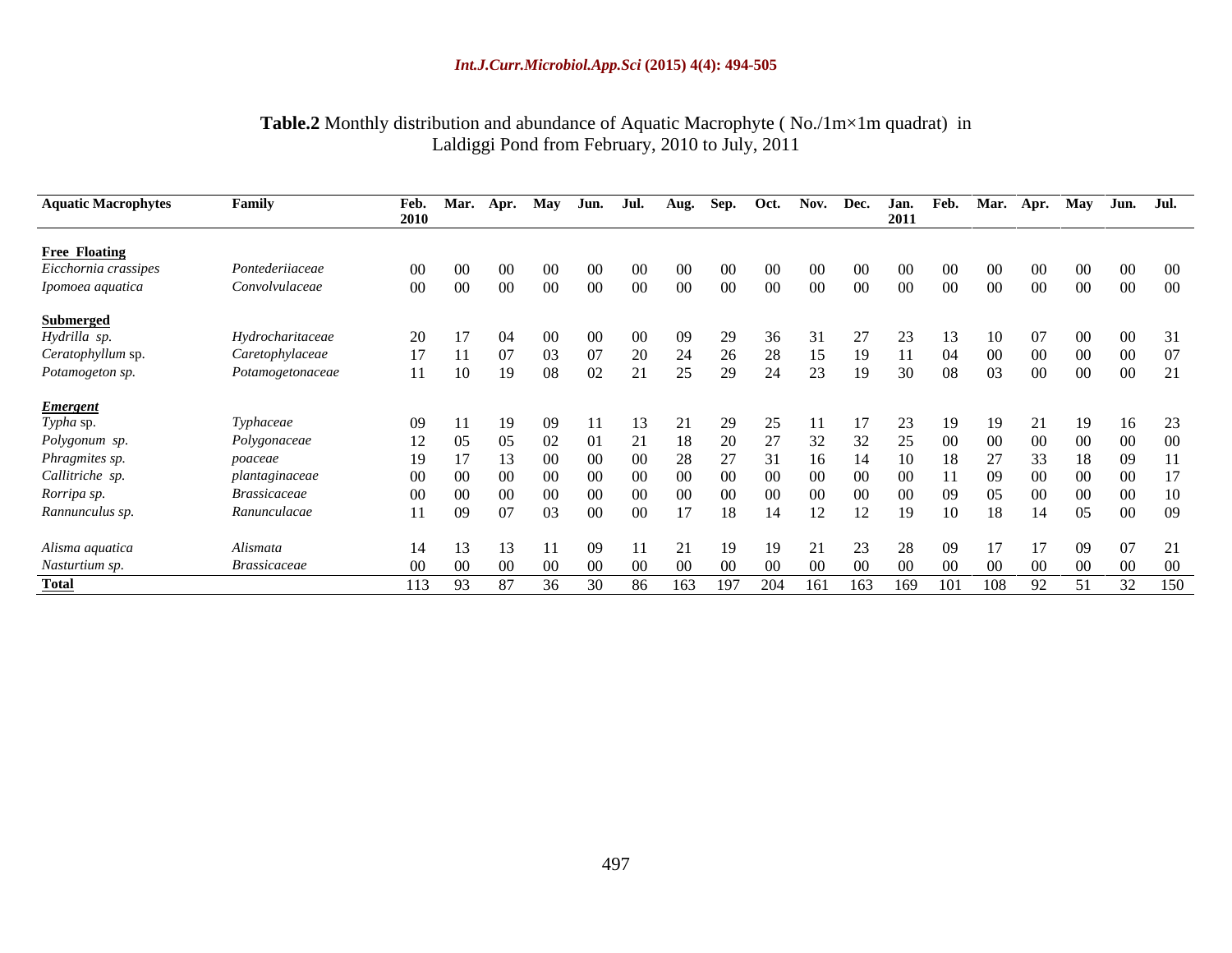#### **Table.2** Monthly distribution and abundance of Aquatic Macrophyte ( No./1m×1m quadrat) in Laldiggi Pond from February, 2010 to July, 2011

| <b>Aquatic Macrophytes</b>                            | Family              |       | Feb. Mar. Apr. May Jun. Jul. Aug. Sep. Oct. Nov. Dec. Jan. Feb. Mar. Apr. May Jun. Jul. |                 |                 |           |                 |        |      |        |                 |                 |                  |    |                                   |    |                 |         |               |         |
|-------------------------------------------------------|---------------------|-------|-----------------------------------------------------------------------------------------|-----------------|-----------------|-----------|-----------------|--------|------|--------|-----------------|-----------------|------------------|----|-----------------------------------|----|-----------------|---------|---------------|---------|
|                                                       |                     | 2010  |                                                                                         |                 |                 |           |                 |        |      |        |                 |                 | 2011             |    |                                   |    |                 |         |               |         |
| <b>Free Floating</b>                                  |                     |       |                                                                                         |                 |                 |           |                 |        |      |        |                 |                 |                  |    |                                   |    |                 |         |               |         |
| Eicchornia crassipes                                  | Pontederiiaceae     | 00    | - 00                                                                                    | 00 <sup>1</sup> | -00-            | (0()      | $00-$           | -00-   |      | - 00   | -00-            | 00 <sup>1</sup> | (0()             |    | $00\,$<br>00 <sup>1</sup>         |    | 00 <sup>1</sup> |         | $00 \t 00$    |         |
| Ipomoea aquatica                                      | Convolvulaceae      | 00    | $\sim 00$                                                                               | 00              | 00 <sup>1</sup> | 00        | $00\,$          | $00\,$ | - 00 | $00\,$ | 00 <sup>1</sup> | $00\,$          | $00\,$           |    | $00\,$<br>$00\,$                  |    | $00\,$          | -00     |               | $00$ 00 |
| <b>Submerged</b><br>Hydrilla sp.<br>Ceratophyllum sp. |                     |       |                                                                                         |                 |                 |           |                 |        |      |        |                 |                 |                  |    |                                   |    |                 |         |               |         |
|                                                       | Hydrocharitaceae    |       | 20 17                                                                                   |                 | -00-            | - 00      | 00 <sup>1</sup> | - 09   | 29   | -36-   |                 | 27              |                  |    | - 10                              |    | -07             |         | $00 \t 31$    |         |
|                                                       | Caretophylaceae     |       | 17 11                                                                                   | -07             | 03 <sup>2</sup> |           |                 |        | 26   | 28     | 15              | 19              |                  | 04 | $00\,$                            |    | 00              | - 00    | 00 07         |         |
| Potamogeton sp.                                       | Potamogetonaceae    |       | 11 10                                                                                   | - 19            | 08              | 02        | 21              | 25     | 29   | 24     | 23              | - 19            | 30               |    | 03<br>08                          |    | $00\,$          | $00 \,$ | 00 21         |         |
| <b>Emergent</b><br>Typha sp.<br>Polygonum sp.         |                     |       |                                                                                         |                 |                 |           |                 |        |      |        |                 |                 |                  |    |                                   |    |                 |         |               |         |
|                                                       | Typhaceae           | 09 11 |                                                                                         |                 | -09             |           | -13-            | 2.1    | - 29 | 25     | - 11            |                 | 23               |    | - 19<br>19                        |    | 21              |         | 16 23         |         |
|                                                       | Polygonaceae        |       | 12 05                                                                                   | - 05            | 02              | - 01      |                 | -18    | 20   | 27     |                 | 32 32           | $\sim$ 25 $\sim$ |    | $\sim$ 00<br>$00\,$               |    | 00<br>00        |         | $00 \t 00$    |         |
| Phragmites sp.<br>Callitriche sp.                     | poaceae             | 19    |                                                                                         |                 | (0()            | (0()      | (0()            | -28    |      |        | -16             |                 |                  |    | 27                                |    | 33              | 18      | $09 \t 11$    |         |
|                                                       | plantaginaceae      | 00    | $\sim$ 00                                                                               |                 | (1)             |           | (10)            | (1)    |      | (1)    |                 | -00-            | (K)              |    | -09                               |    | 00 <sup>1</sup> |         | 00 17         |         |
| Rorripa sp.                                           | <b>Brassicaceae</b> |       | 00 00                                                                                   | - ററ            | $00 -$          | - 00      | 00 <sup>1</sup> | $00 -$ |      | $00 -$ | $00 -$          | $00 -$          | $00 -$           |    | 05<br>09                          |    | 00 <sup>1</sup> | $00 -$  | 00 10         |         |
| Rannunculus sp.                                       | Ranunculacae        |       | 11 09                                                                                   | - 07            | 03              | $00\,$    | $00\,$          | 17     | 18   | - 14   | 12              | 12              | 19               |    | 18<br>10                          | 14 |                 | 05      | 00 09         |         |
|                                                       | Alismata            |       | 14 13                                                                                   |                 |                 | - 09      | - 11            | 21     | 19   | - 19   | 21              | 23              | - 28             |    | 17<br>09                          |    | 17              | - 09    | 07 21         |         |
| Alisma aquatica<br>Nasturtium sp.                     | <b>Brassicaceae</b> |       | 00 00                                                                                   | 00 <sup>1</sup> | 00 <sup>1</sup> | $\sim 00$ | 00 <sup>°</sup> | - 00   |      | $00\,$ | - 00            | 00 <sup>1</sup> | $00\,$           |    | $00\,$<br>$00\,$                  |    | 00<br>- 00      |         | $00\qquad 00$ |         |
| <b>Total</b>                                          |                     |       | 113 93 87 36 30 86 163                                                                  |                 |                 |           |                 |        |      |        |                 |                 |                  |    | 197 204 161 163 169 101 108 92 51 |    |                 |         |               | 32 150  |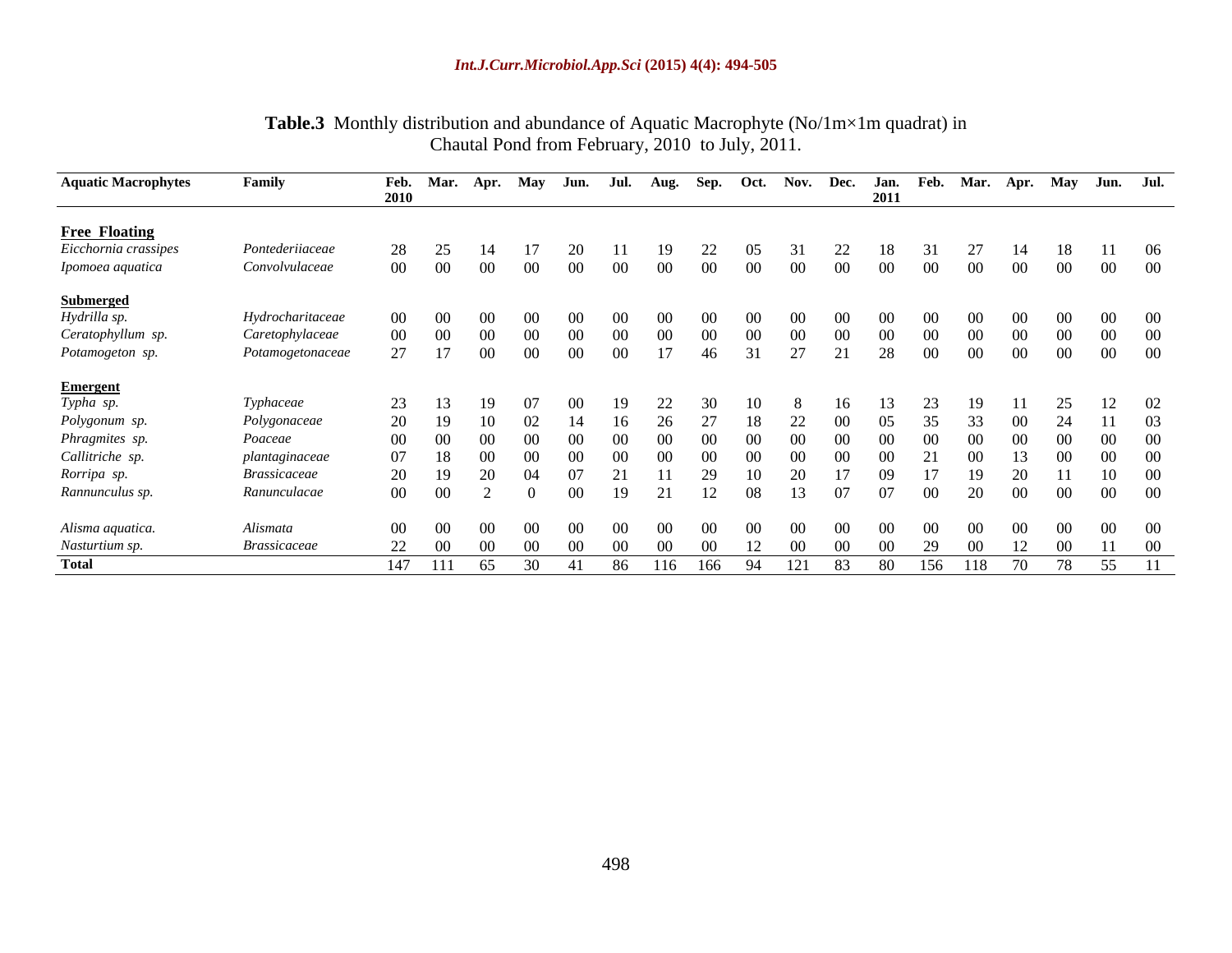| Table.3<br>u quadrat) in<br>⊀lm<br>Aquatic<br>ീerophyte പ<br>NQ<br>$lm \times$<br>y distributior<br>and<br>abundance oi<br>Month<br>-iviac. |  |
|---------------------------------------------------------------------------------------------------------------------------------------------|--|
| 201<br>2010.<br>hautal<br>trom<br>July<br>Pond<br>ı Hehruar                                                                                 |  |

| <b>Aquatic Macrophytes</b>                                                                 | Family                     |                 | Feb. Mar. Apr. |                 |                 |                 |                 | May Jun. Jul. Aug. Sep. Oct. Nov. Dec. Jan. Feb. Mar. Apr. May Jun. Jul. |                 |                 |                 |                 |                 |                 |                 |                 |                     |                 |
|--------------------------------------------------------------------------------------------|----------------------------|-----------------|----------------|-----------------|-----------------|-----------------|-----------------|--------------------------------------------------------------------------|-----------------|-----------------|-----------------|-----------------|-----------------|-----------------|-----------------|-----------------|---------------------|-----------------|
|                                                                                            |                            | 2010            |                |                 |                 |                 |                 |                                                                          |                 |                 |                 | 2011            |                 |                 |                 |                 |                     |                 |
|                                                                                            |                            |                 |                |                 |                 |                 |                 |                                                                          |                 |                 |                 |                 |                 |                 |                 |                 |                     |                 |
| Free Floating<br>Eicchornia crassipes                                                      | Pontederiiaceae            | 28              |                |                 | 20              |                 | - 19            | 22                                                                       | 05 <sup>7</sup> |                 | 22              |                 | 18 31           | 27              | - 14            |                 | 18 11 06            |                 |
| Ipomoea aquatica                                                                           | Convolvulaceae             | $00\,$          |                | -00             | 00 <sup>1</sup> | 00 <sup>1</sup> | 00 <sup>1</sup> | $00\,$                                                                   | $00\,$          | $00\,$          | $00\,$          | $00\,$          | $00\,$          | $00\,$          | $00\,$          | $00\,$          | 00 00               |                 |
|                                                                                            |                            |                 |                |                 |                 |                 |                 |                                                                          |                 |                 |                 |                 |                 |                 |                 |                 |                     |                 |
| <b>Submerged</b><br>Hydrilla sp.<br>Ceratophyllum sp.                                      | Hydrocharitaceae           |                 |                |                 |                 |                 |                 | 00 <sup>1</sup>                                                          | $00 -$          | 00 <sup>1</sup> | -00             | 00 <sup>1</sup> | 00 <sup>1</sup> | 00 <sup>1</sup> |                 | $00 -$          |                     | 00 00           |
|                                                                                            | Caretophylaceae            | $00\,$          |                | (0()            | - 00            | 00 <sup>1</sup> | -00-            | -00-                                                                     | - 00            | - 00            | -00-            | 00 <sup>1</sup> | - 00            | 00 <sup>1</sup> | 00 <sup>1</sup> | 00 <sup>1</sup> | $00\,$              | $00\,$          |
| Potamogeton sp.                                                                            | Potamogetonaceae           | 27              |                | 00 <sup>1</sup> | $00 -$          | 00 <sup>1</sup> | 17              | 46                                                                       | 31              | 27              | 21              | 28              | $00\,$          | 00 <sup>1</sup> | 00 <sup>1</sup> | $00\,$          | $00 \qquad 00$      |                 |
|                                                                                            |                            |                 |                |                 |                 |                 |                 |                                                                          |                 |                 |                 |                 |                 |                 |                 |                 |                     |                 |
|                                                                                            | Typhaceae                  | 23              |                |                 |                 |                 |                 | 30                                                                       |                 |                 |                 |                 |                 |                 |                 | 25              |                     | 12 02           |
|                                                                                            | Polygonaceae               | 20              |                |                 | - 14            | -16             | - 26            | 27                                                                       | - 18 -          | 22              | - 00            | 05 <sup>7</sup> | 35              | 33 <sup>°</sup> | 00 <sup>1</sup> | 24              | $\boxed{11}$        | $\overline{03}$ |
|                                                                                            | Poaceae                    | $00\,$          |                |                 |                 | 00              | <u>ന</u>        | 00 <sup>1</sup>                                                          | <u>ന</u>        | 00 <sup>1</sup> | $00 -$          | 00 <sup>1</sup> | 00 <sup>1</sup> | 00 <sup>1</sup> | $00-1$          | 00 <sup>1</sup> | 00                  | $\sim$ 00       |
| Emergent<br>Typha sp.<br>Polygonum sp.<br>Phragmites sp.<br>Callitriche sp.<br>Rorripa sp. | plantaginaceae             | 07              |                |                 |                 | -00-            |                 | 00 <sup>1</sup>                                                          | <u>ന</u>        | 00 <sup>1</sup> | -00             | 00 <sup>1</sup> |                 | 00 <sup>1</sup> |                 | 00 <sup>1</sup> |                     | 0000            |
|                                                                                            | <i><b>Brassicaceae</b></i> | 20              |                |                 |                 |                 |                 | 29                                                                       |                 | $20^{\circ}$    |                 | 09              |                 |                 | 20              |                 |                     | 10 00           |
| Rannunculus sp.                                                                            | Ranunculacae               | $00\,$          |                |                 | $\Omega$        | 19              | 21              | 12                                                                       | - 08            | 13              | 07              | 07              | 00 <sup>1</sup> | 20              | 00              | $\sim 00$       | $00\qquad 00$       |                 |
|                                                                                            | Alismata                   | 00 <sup>1</sup> |                |                 | 00 <sup>1</sup> | 00 <sup>2</sup> | $00 -$          | 00 <sup>1</sup>                                                          | 00 <sup>1</sup> | 00 <sup>1</sup> | 00 <sup>1</sup> | 00 <sup>°</sup> | $00\,$          | 00 <sup>1</sup> | 00 <sup>1</sup> | 00 <sup>1</sup> |                     | $00\qquad 00$   |
|                                                                                            | <i><b>Brassicaceae</b></i> | 22 00           |                | (1)             | (1)             | -00-            | - 00            | -00-                                                                     | 12              | $00\,$          | 00 <sup>1</sup> | $00\,$          | 29              | $00\,$          |                 |                 | 12 00 11 00         |                 |
| Alisma aquatica.<br>Nasturtium sp.<br><b>Total</b>                                         |                            |                 | 147 111 65     | 30              | 41              |                 | 86 116          | 166                                                                      | - 94            | 121             | 83              | 80              |                 |                 |                 |                 | 156 118 70 78 55 11 |                 |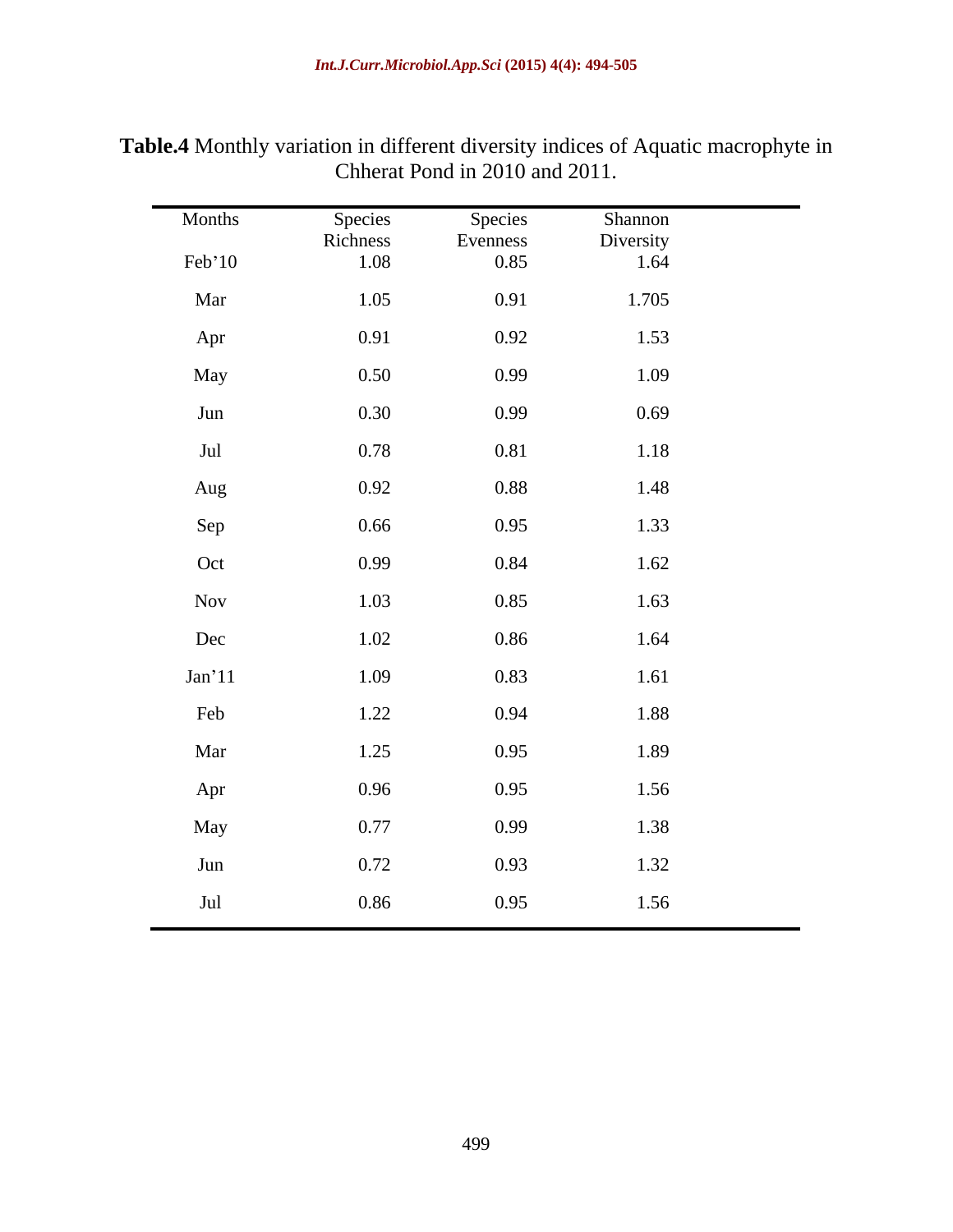| Months   | Species          | Species          | Shannon           |
|----------|------------------|------------------|-------------------|
| Feb'10   | Richness<br>1.08 | Evenness<br>0.85 | Diversity<br>1.64 |
| Mar      | 1.05             | 0.91             | 1.705             |
| Apr      | 0.91             | 0.92             | 1.53              |
| May      | 0.50             | 0.99             | 1.09              |
| Jun      | 0.30             | 0.99             | 0.69              |
| Jul      | 0.78             | 0.81             | 1.18              |
| Aug      | 0.92             | 0.88             | 1.48              |
| Sep      | 0.66             | 0.95             | 1.33              |
| Oct      | 0.99             | 0.84             | 1.62              |
| Nov      | 1.03             | 0.85             | 1.63              |
| Dec      | 1.02             | 0.86             | 1.64              |
| $Jan'11$ | 1.09             | 0.83             | 1.61              |
| Feb      | 1.22             | 0.94             | 1.88              |
| Mar      | 1.25             | 0.95             | 1.89              |
| Apr      | 0.96             | 0.95             | 1.56              |
| May      | 0.77             | 0.99             | 1.38              |
| Jun      | 0.72             | 0.93             | 1.32              |
| Jul      | 0.86             | 0.95             | 1.56              |

**Table.4** Monthly variation in different diversity indices of Aquatic macrophyte in Chherat Pond in 2010 and 2011.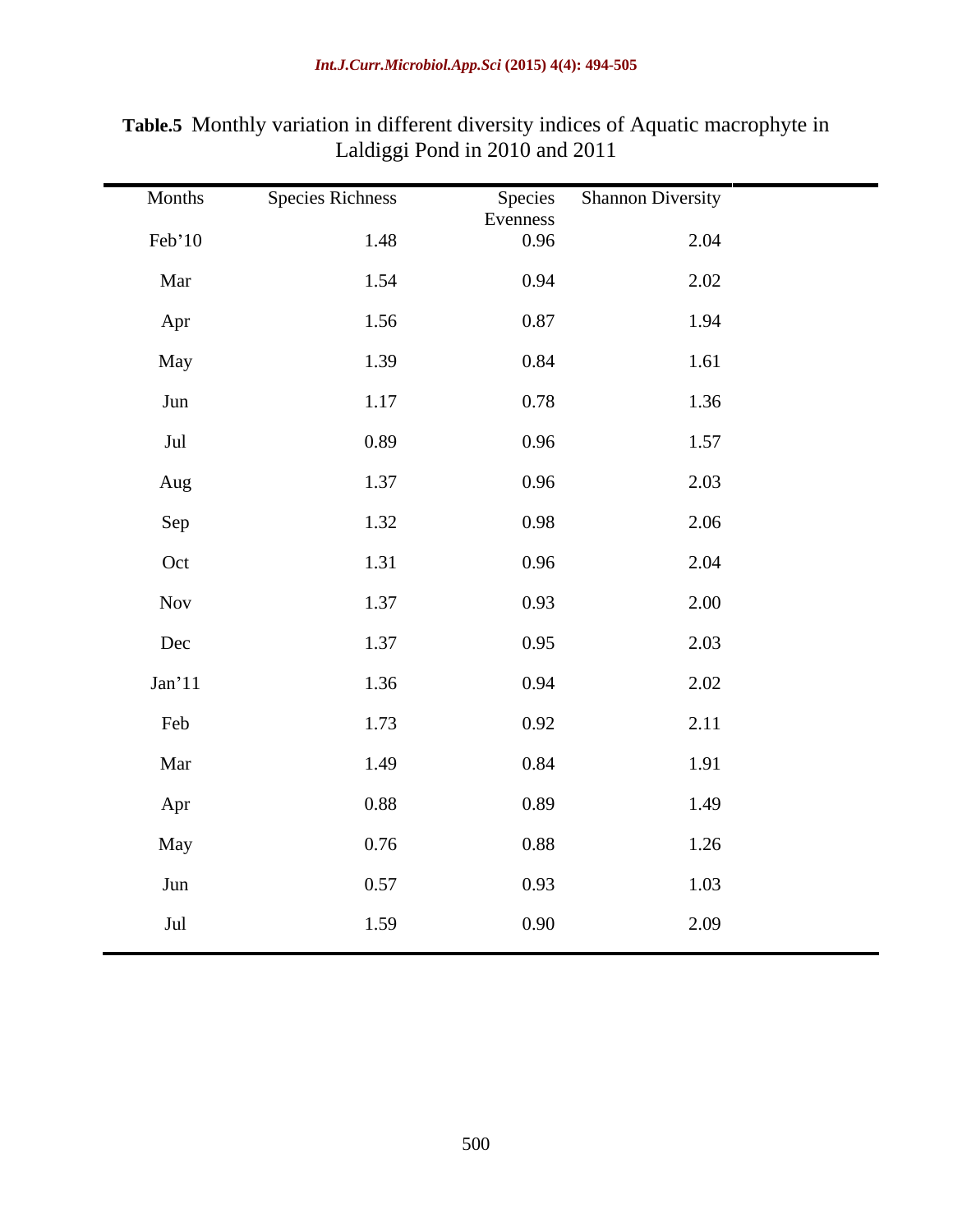| Months         | <b>Species Richness</b> | Species<br>Evenness | <b>Shannon Diversity</b> |  |
|----------------|-------------------------|---------------------|--------------------------|--|
| Feb'10         | 1.48                    | 0.96                | 2.04                     |  |
| Mar            | 1.54                    | 0.94                | 2.02                     |  |
| Apr            | 1.56                    | 0.87                | 1.94                     |  |
| May            | 1.39                    | 0.84                | 1.61                     |  |
| Jun            | 1.17                    | 0.78                | 1.36                     |  |
| $\mathrm{Jul}$ | 0.89                    | 0.96                | 1.57                     |  |
| Aug            | 1.37                    | 0.96                | 2.03                     |  |
| Sep            | 1.32                    | 0.98                | 2.06                     |  |
| Oct            | 1.31                    | 0.96                | 2.04                     |  |
| Nov            | 1.37                    | 0.93                | 2.00                     |  |
| Dec            | 1.37                    | 0.95                | 2.03                     |  |
| Jan'11         | 1.36                    | 0.94                | 2.02                     |  |
| Feb            | 1.73                    | 0.92                | 2.11                     |  |
| Mar            | 1.49                    | 0.84                | 1.91                     |  |
| Apr            | 0.88                    | 0.89                | 1.49                     |  |
| May            | 0.76                    | 0.88                | 1.26                     |  |
| Jun            | 0.57                    | 0.93                | 1.03                     |  |
| Jul            | 1.59                    | 0.90                | 2.09                     |  |
|                |                         |                     |                          |  |

**Table.5** Monthly variation in different diversity indices of Aquatic macrophyte in Laldiggi Pond in 2010 and 2011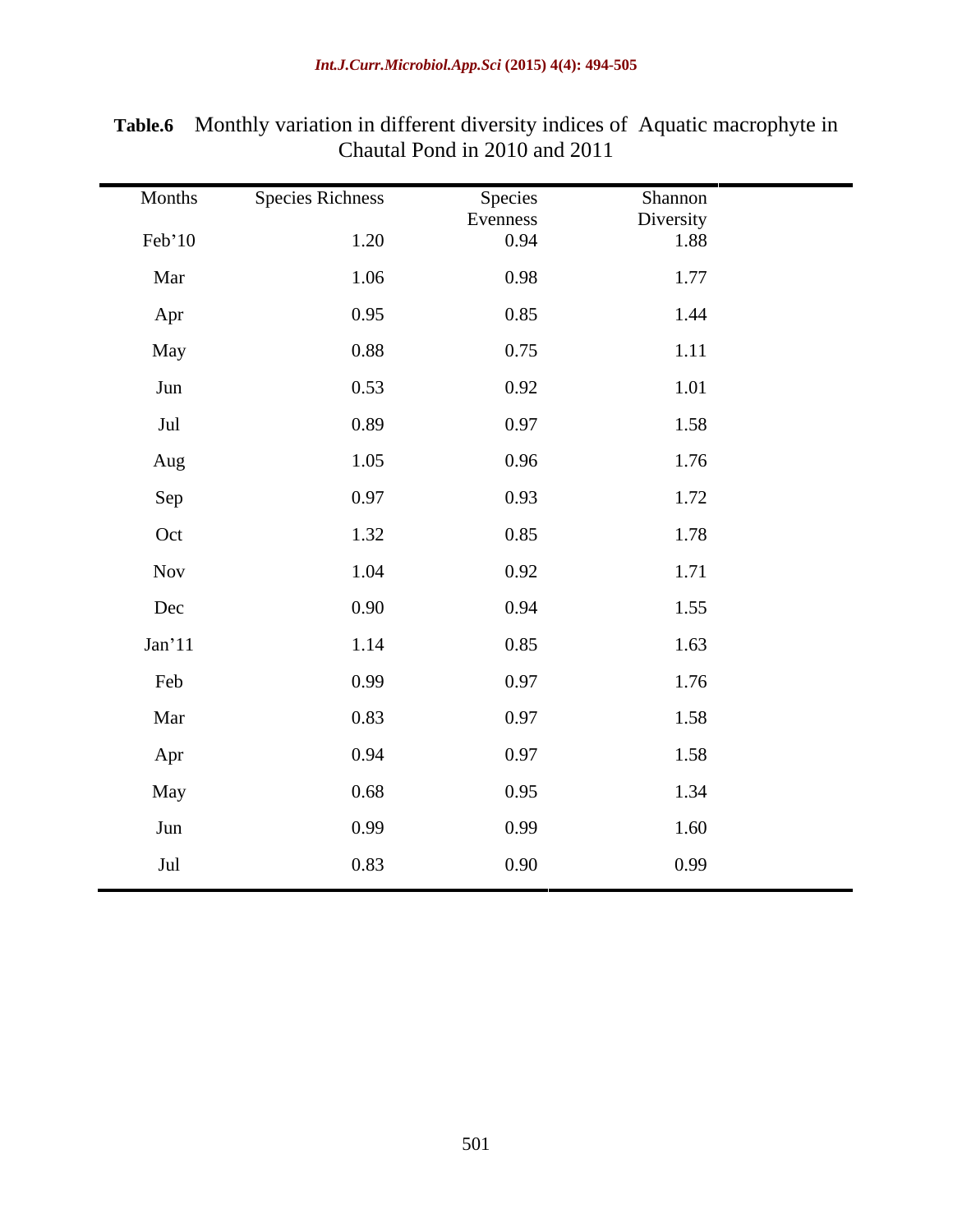| Months | <b>Species Richness</b> | Species<br>Evenness | Shannon<br>Diversity |
|--------|-------------------------|---------------------|----------------------|
| Feb'10 | 1.20                    | 0.94                | 1.88                 |
| Mar    | 1.06                    | 0.98                | 1.77                 |
| Apr    | 0.95                    | 0.85                | 1.44                 |
| May    | 0.88                    | 0.75                | 1.11                 |
| Jun    | 0.53                    | 0.92                | 1.01                 |
| Jul    | 0.89                    | 0.97                | 1.58                 |
| Aug    | 1.05                    | 0.96                | 1.76                 |
| Sep    | 0.97                    | 0.93                | 1.72                 |
| Oct    | 1.32                    | 0.85                | 1.78                 |
| Nov    | 1.04                    | 0.92                | 1.71                 |
| Dec    | 0.90                    | 0.94                | 1.55                 |
| Jan'11 | 1.14                    | 0.85                | 1.63                 |
| Feb    | 0.99                    | 0.97                | 1.76                 |
| Mar    | 0.83                    | 0.97                | 1.58                 |
| Apr    | 0.94                    | 0.97                | 1.58                 |
| May    | 0.68                    | 0.95                | 1.34                 |
| Jun    | 0.99                    | 0.99                | 1.60                 |
| Jul    | 0.83                    | 0.90                | 0.99                 |

**Table.6** Monthly variation in different diversity indices of Aquatic macrophyte in Chautal Pond in 2010 and 2011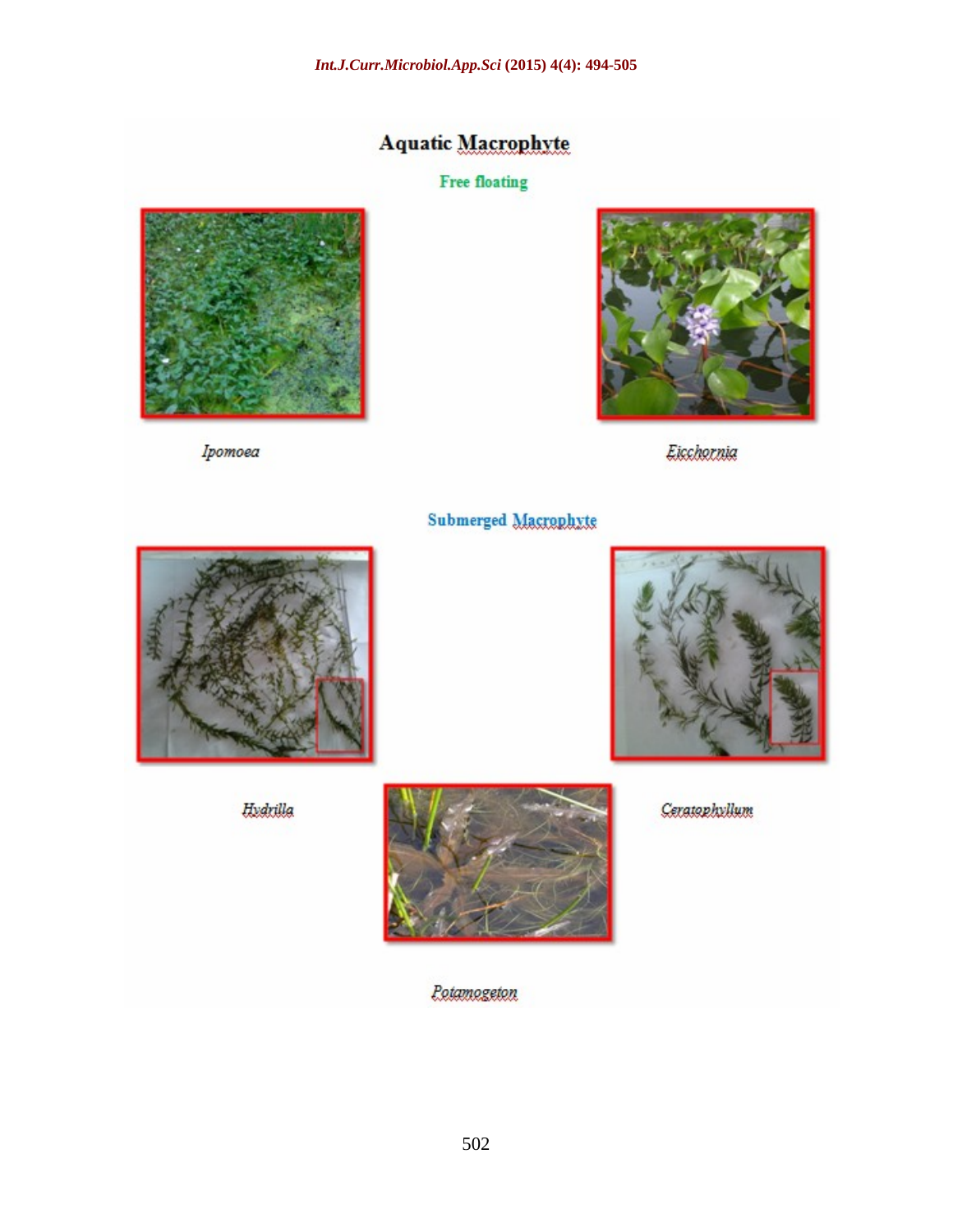## **Aquatic Macrophyte**

### **Free floating**



Ipomoea



Eicchornia



**Hydrilla** 



**Potamogeton** 

Ceratophyllum

Submerged Macrophyte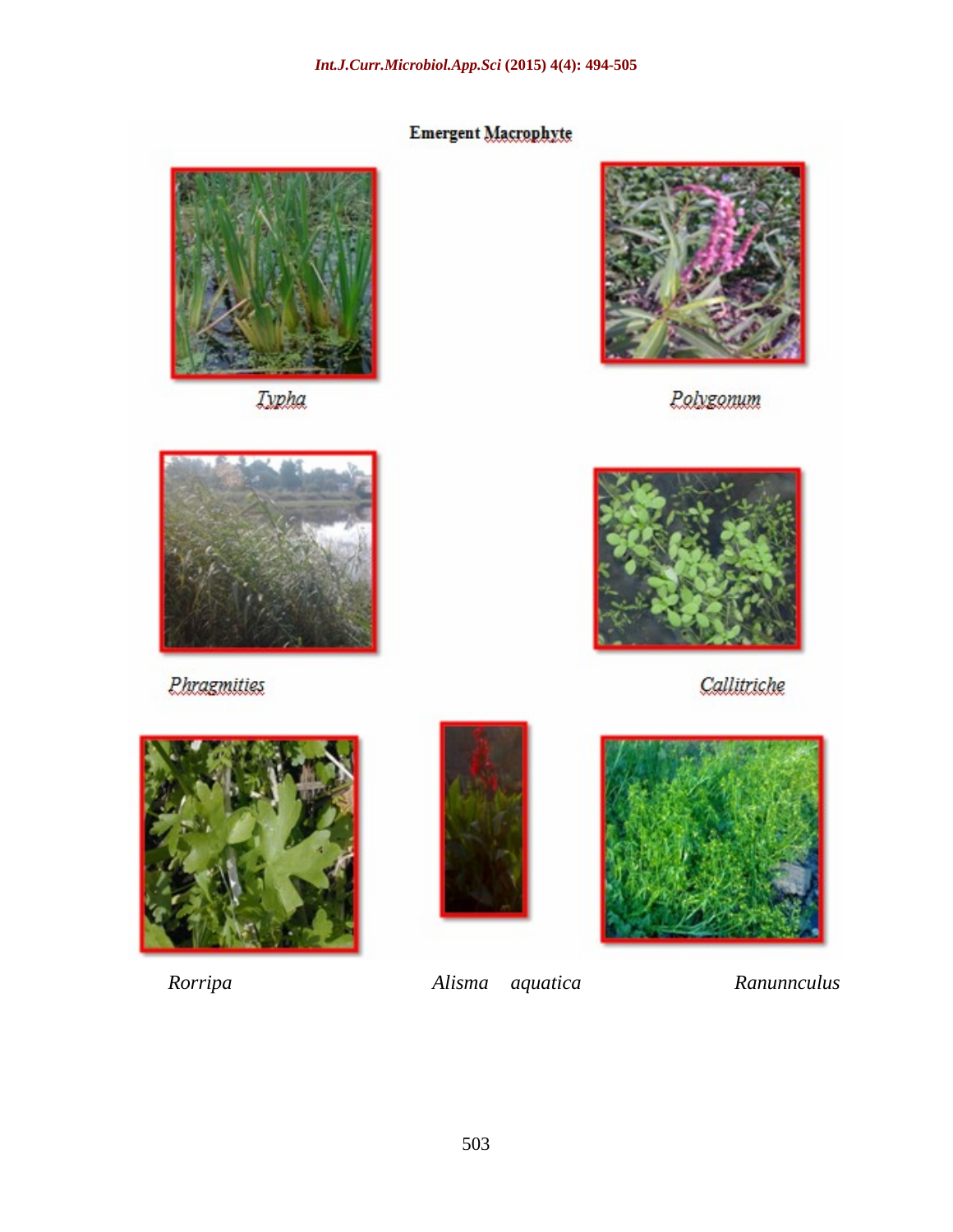# Emergent Macrophyte



**Iypha** 



Polygonum



Phragmities



Callitriche







*Rorripa Alisma aquatica Ranunnculus*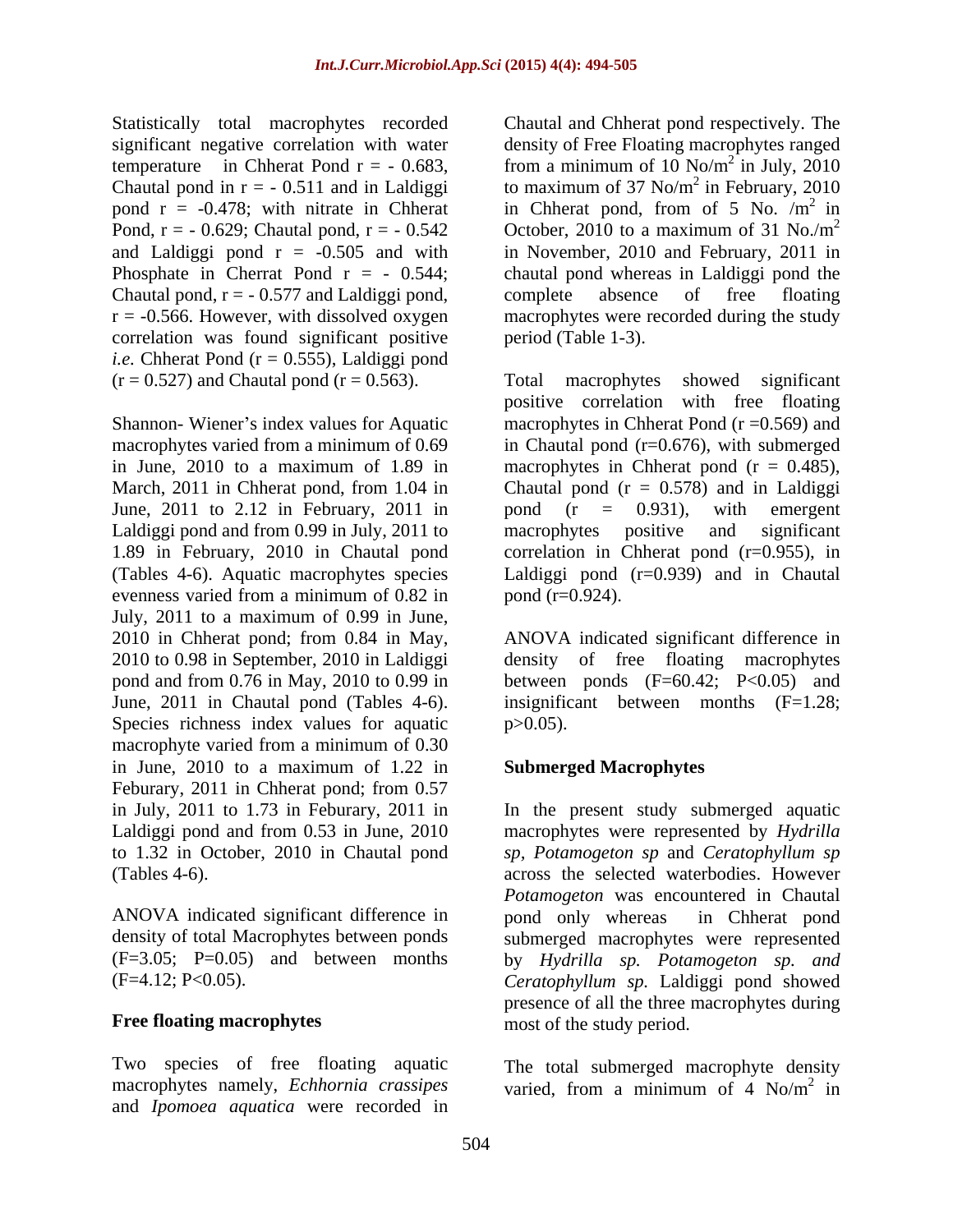Statistically total macrophytes recorded pond  $r = -0.478$ ; with nitrate in Chherat Pond,  $r = -0.629$ ; Chautal pond,  $r = -0.542$ Chautal pond,  $r = -0.577$  and Laldiggi pond, complete absence of free floating correlation was found significant positive *i.e.* Chherat Pond ( $r = 0.555$ ), Laldiggi pond  $(r = 0.527)$  and Chautal pond  $(r = 0.563)$ . Total macrophytes showed significant

Shannon- Wiener's index values for Aquatic June, 2011 to 2.12 in February, 2011 in pond  $(r = 0.931)$ , with emergent Laldiggi pond and from 0.99 in July, 2011 to macrophytes positive and significant evenness varied from a minimum of  $0.82$  in pond  $(r=0.924)$ . July, 2011 to a maximum of 0.99 in June, 2010 in Chherat pond; from 0.84 in May, ANOVA indicated significant difference in 2010 to 0.98 in September, 2010 in Laldiggi density of free floating macrophytes pond and from 0.76 in May, 2010 to 0.99 in between ponds  $(F=60.42; P<0.05)$  and June, 2011 in Chautal pond (Tables 4-6). insignificant between months (F=1.28; Species richness index values for aquatic p > 0.05). macrophyte varied from a minimum of 0.30 in June, 2010 to a maximum of 1.22 in Feburary, 2011 in Chherat pond; from 0.57 in July, 2011 to 1.73 in Feburary, 2011 in Laldiggi pond and from 0.53 in June, 2010 macrophytes were represented by *Hydrilla*  to 1.32 in October, 2010 in Chautal pond *sp, Potamogeton sp* and *Ceratophyllum sp* (Tables 4-6). across the selected waterbodies. However

ANOVA indicated significant difference in

#### **Free floating macrophytes**

Two species of free floating aquatic macrophytes namely, *Echhornia crassipes* varied, from a minimum of 4 No/m<sup>2</sup> in and *Ipomoea aquatica* were recorded in

significant negative correlation with water density of Free Floating macrophytes ranged temperature in Chherat Pond  $r = -0.683$ , from a minimum of 10 No/m<sup>2</sup> in July, 2010 Chautal pond in  $r = -0.511$  and in Laldiggi to maximum of 37 No/m<sup>2</sup> in February, 2010 and Laldiggi pond r = -0.505 and with in November, 2010 and February, 2011 in Phosphate in Cherrat Pond  $r = -0.544$ ; chautal pond whereas in Laldiggi pond the r = -0.566. However, with dissolved oxygen macrophytes were recorded during the study Chautal and Chherat pond respectively. The  $^{2}$  in July 2010 in July, 2010  $^{2}$  in Eshmory, 2010 in February, 2010 in Chherat pond, from of 5 No.  $/m^2$  in  $2 \text{ in}$ October, 2010 to a maximum of 31 No./ $m<sup>2</sup>$ 2 complete absence of free floating period (Table 1-3).

macrophytes varied from a minimum of 0.69 in Chautal pond (r=0.676), with submerged in June, 2010 to a maximum of 1.89 in macrophytes in Chherat pond (r = 0.485), March, 2011 in Chherat pond, from 1.04 in Chautal pond (r = 0.578) and in Laldiggi 1.89 in February, 2010 in Chautal pond correlation in Chherat pond (r=0.955), in (Tables 4-6). Aquatic macrophytes species Laldiggi pond (r=0.939) and in Chautal Total macrophytes showed significant positive correlation with free floating macrophytes in Chherat Pond  $(r = 0.569)$  and pond (r = 0.931), with emergent macrophytes positive and significant pond (r=0.924).

 $p > 0.05$ ).

#### **Submerged Macrophytes**

density of total Macrophytes between ponds submerged macrophytes were represented (F=3.05; P=0.05) and between months by *Hydrilla sp. Potamogeton sp. and* (F=4.12; P<0.05). *Ceratophyllum sp.* Laldiggi pond showed In the present study submerged aquatic *Potamogeton* was encountered in Chautal pond only whereas in Chherat pond presence of all the three macrophytes during most of the study period.

> The total submerged macrophyte density varied, from a minimum of 4  $No/m<sup>2</sup>$  in 2 in